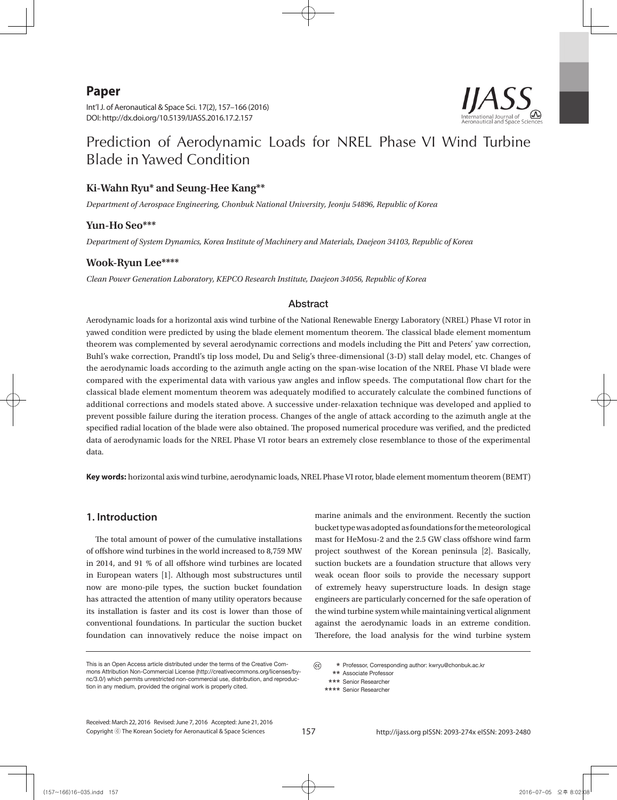# **Paper**

Int'l J. of Aeronautical & Space Sci. 17(2), 157–166 (2016) DOI: http://dx.doi.org/10.5139/IJASS.2016.17.2.157



# Prediction of Aerodynamic Loads for NREL Phase VI Wind Turbine Blade in Yawed Condition

# **Ki-Wahn Ryu\* and Seung-Hee Kang\*\***

*Department of Aerospace Engineering, Chonbuk National University, Jeonju 54896, Republic of Korea*

# **Yun-Ho Seo\*\*\***

*Department of System Dynamics, Korea Institute of Machinery and Materials, Daejeon 34103, Republic of Korea*

### **Wook-Ryun Lee\*\*\*\***

*Clean Power Generation Laboratory, KEPCO Research Institute, Daejeon 34056, Republic of Korea* 

### Abstract

Aerodynamic loads for a horizontal axis wind turbine of the National Renewable Energy Laboratory (NREL) Phase VI rotor in yawed condition were predicted by using the blade element momentum theorem. The classical blade element momentum theorem was complemented by several aerodynamic corrections and models including the Pitt and Peters' yaw correction, Buhl's wake correction, Prandtl's tip loss model, Du and Selig's three-dimensional (3-D) stall delay model, etc. Changes of the aerodynamic loads according to the azimuth angle acting on the span-wise location of the NREL Phase VI blade were compared with the experimental data with various yaw angles and inflow speeds. The computational flow chart for the classical blade element momentum theorem was adequately modified to accurately calculate the combined functions of additional corrections and models stated above. A successive under-relaxation technique was developed and applied to prevent possible failure during the iteration process. Changes of the angle of attack according to the azimuth angle at the specified radial location of the blade were also obtained. The proposed numerical procedure was verified, and the predicted data of aerodynamic loads for the NREL Phase VI rotor bears an extremely close resemblance to those of the experimental data.

**Key words:** horizontal axis wind turbine, aerodynamic loads, NREL Phase VI rotor, blade element momentum theorem (BEMT)

# **1. Introduction**

The total amount of power of the cumulative installations of offshore wind turbines in the world increased to 8,759 MW in 2014, and 91 % of all offshore wind turbines are located in European waters [1]. Although most substructures until now are mono-pile types, the suction bucket foundation has attracted the attention of many utility operators because its installation is faster and its cost is lower than those of conventional foundations. In particular the suction bucket foundation can innovatively reduce the noise impact on

marine animals and the environment. Recently the suction bucket type was adopted as foundations for the meteorological mast for HeMosu-2 and the 2.5 GW class offshore wind farm project southwest of the Korean peninsula [2]. Basically, suction buckets are a foundation structure that allows very weak ocean floor soils to provide the necessary support of extremely heavy superstructure loads. In design stage engineers are particularly concerned for the safe operation of the wind turbine system while maintaining vertical alignment against the aerodynamic loads in an extreme condition. Therefore, the load analysis for the wind turbine system

This is an Open Access article distributed under the terms of the Creative Commons Attribution Non-Commercial License (http://creativecommons.org/licenses/bync/3.0/) which permits unrestricted non-commercial use, distribution, and reproduction in any medium, provided the original work is properly cited.

 $(c)$  **\*** Professor, Corresponding author: kwryu@chonbuk.ac.kr

 **\*\*** Associate Professor  **\*\*\*** Senior Researcher

Copyright ⓒ The Korean Society for Aeronautical & Space Sciences Received: March 22, 2016 Revised: June 7, 2016 Accepted: June 21, 2016

 **<sup>\*\*\*\*</sup>** Senior Researcher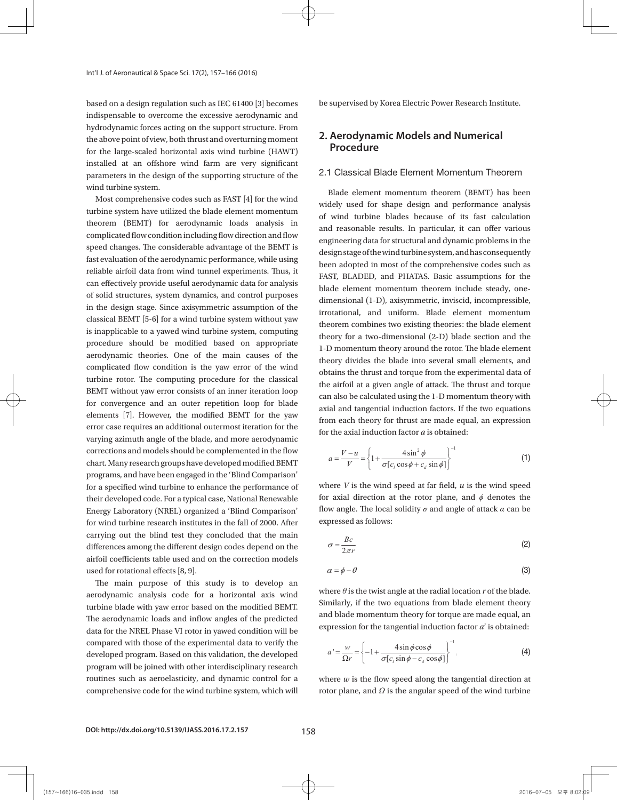based on a design regulation such as IEC 61400 [3] becomes indispensable to overcome the excessive aerodynamic and hydrodynamic forces acting on the support structure. From the above point of view, both thrust and overturning moment for the large-scaled horizontal axis wind turbine (HAWT) installed at an offshore wind farm are very significant parameters in the design of the supporting structure of the wind turbine system.

Most comprehensive codes such as FAST [4] for the wind turbine system have utilized the blade element momentum theorem (BEMT) for aerodynamic loads analysis in complicated flow condition including flow direction and flow speed changes. The considerable advantage of the BEMT is fast evaluation of the aerodynamic performance, while using reliable airfoil data from wind tunnel experiments. Thus, it can effectively provide useful aerodynamic data for analysis of solid structures, system dynamics, and control purposes in the design stage. Since axisymmetric assumption of the classical BEMT [5-6] for a wind turbine system without yaw is inapplicable to a yawed wind turbine system, computing procedure should be modified based on appropriate aerodynamic theories. One of the main causes of the complicated flow condition is the yaw error of the wind turbine rotor. The computing procedure for the classical BEMT without yaw error consists of an inner iteration loop for convergence and an outer repetition loop for blade elements [7]. However, the modified BEMT for the yaw error case requires an additional outermost iteration for the varying azimuth angle of the blade, and more aerodynamic corrections and models should be complemented in the flow chart. Many research groups have developed modified BEMT programs, and have been engaged in the 'Blind Comparison' for a specified wind turbine to enhance the performance of their developed code. For a typical case, National Renewable Energy Laboratory (NREL) organized a 'Blind Comparison' for wind turbine research institutes in the fall of 2000. After carrying out the blind test they concluded that the main differences among the different design codes depend on the airfoil coefficients table used and on the correction models used for rotational effects [8, 9].

The main purpose of this study is to develop an aerodynamic analysis code for a horizontal axis wind turbine blade with yaw error based on the modified BEMT. The aerodynamic loads and inflow angles of the predicted data for the NREL Phase VI rotor in yawed condition will be compared with those of the experimental data to verify the developed program. Based on this validation, the developed program will be joined with other interdisciplinary research routines such as aeroelasticity, and dynamic control for a comprehensive code for the wind turbine system, which will be supervised by Korea Electric Power Research Institute.

# **2. Aerodynamic Models and Numerical Procedure**

### 2.1 Classical Blade Element Momentum Theorem

Blade element momentum theorem (BEMT) has been widely used for shape design and performance analysis of wind turbine blades because of its fast calculation and reasonable results. In particular, it can offer various engineering data for structural and dynamic problems in the design stage of the wind turbine system, and has consequently been adopted in most of the comprehensive codes such as FAST, BLADED, and PHATAS. Basic assumptions for the blade element momentum theorem include steady, onedimensional (1-D), axisymmetric, inviscid, incompressible, irrotational, and uniform. Blade element momentum and uniform. Blade is the uniform. Blade element momentum theorem combines two existing theories: the blade element theory for a two-dimensional (2-D) blade section and the 1-D momentum theory around the rotor. The blade element theory divides the blade into several small elements, and obtains the thrust and torque from the experimental data of  $\hfill\Box$ the airfoil at a given angle of attack. The thrust and torque can also be calculated using the 1-D momentum theory with  $\Box$ axial and tangential induction factors. If the two equations from each theory for thrust are made equal, an expression for the axial induction factor *a* is obtained:  $\frac{d}{dx}$  is obtained:  $\mu_{\text{D}}$ ,  $\mu_{\text{D}}$  and  $\mu_{\text{D}}$ , basic assumptions for the blade element momentum blade element momentum theorem include steady, onetheorem combines two existing theories: the blade element blade element theory divides the blade into several small elements, and obtains the thrust and torque

$$
a = \frac{V - u}{V} = \left\{ 1 + \frac{4\sin^2\phi}{\sigma[c_i\cos\phi + c_d\sin\phi]} \right\}^{-1}
$$
 (1)

where *V* is the wind speed at far field, *u* is the wind speed<br>where *V* is the wind speed at far field, *u* is the wind speed flow angle. The local solidity  $\sigma$  and angle of attack  $\alpha$  can be expressed as follows: for axial direction at the rotor plane, and  $\phi$  denotes the denotes the flow angle. The local solidity *σ* and angle of attack can be expressed as follows:

$$
\sigma = \frac{Bc}{2\pi r} \tag{2}
$$

$$
\alpha = \phi - \theta \tag{3}
$$

Similarly, if the two equations from blade element theory and blade momentum theory for torque are made equal, an where  $\theta$  is the twist angle at the radial location  $r$  of the blade. expression for the tangential induction factor  $a^\prime$  is obtained:

$$
a' = \frac{w}{\Omega r} = \left\{-1 + \frac{4\sin\phi\cos\phi}{\sigma[c_l\sin\phi - c_d\cos\phi]}\right\}^{-1}.
$$
 (4)

where *w* is the flow speed along the tangential direction at rotor plane, and is the angular speed of  $\frac{1}{2}$  and  $\frac{1}{2}$  is the angular speed of the wind turbine where  $w$  is the flow speed along the tangential direction at

axial and tangential induction factors and the velocity triangle, the flow angle can be directly derived

axial and tangential induction factors and the velocity triangle, the flow angle can be directly derived

axial and tangential induction factors and the velocity triangle, the flow angle can be directly derived and t

axial and tangential induction factors and the velocity triangle, the flow angle can be directly derived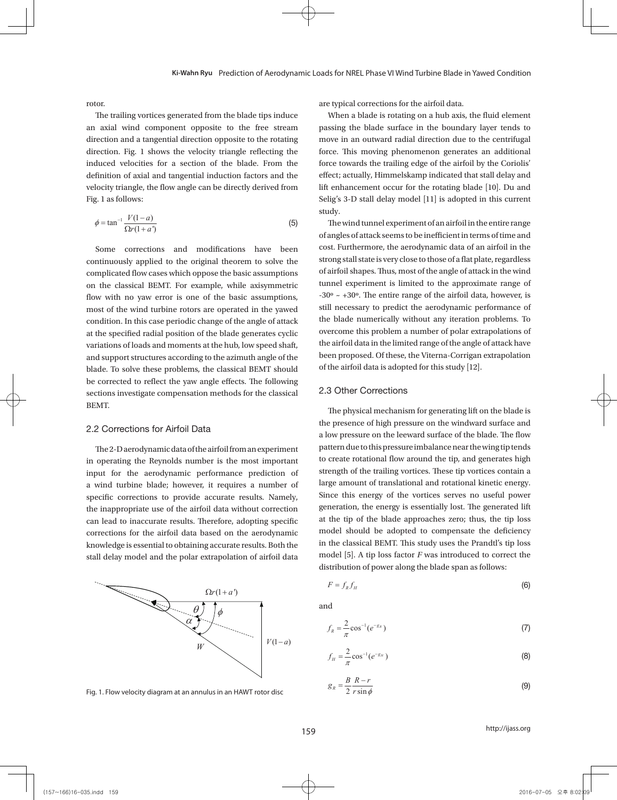rotor.

The trailing vortices generated from the blade tips induce an axial wind component opposite to the free stream direction and a tangential direction opposite to the rotating direction. Fig. 1 shows the velocity triangle reflecting the induced velocities for a section of the blade. From the definition of axial and tangential induction factors and the velocity triangle, the flow angle can be directly derived from Fig. 1 as follows:

$$
\phi = \tan^{-1} \frac{V(1-a)}{\Omega r(1+a)}
$$
\n(5) The wind tunnel experiment of an airfoil in the entire range

Some corrections and modifications have been cost furthermore, the aerod complicated flow cases which oppose the basic assumptions of airfoil shapes. Thus, most of on the classical BEMT. For example, while axisymmetric tunnel experiment is limited most of the wind turbine rotors are operated in the yawed still necessary to predict the condition. In this case periodic change of the angle of attack the blade numerically with variations of loads and moments at the hub, low speed shaft, the airfoil data in the limited. and support structures according to the azimuth angle of the been proposed. Of these, the <br>and support structures according to the azimuth angle of the support of the airfoil data is adopted. be corrected to reflect the yaw angle effects. The following continuously applied to the original theorem to solve the flow with no yaw error is one of the basic assumptions, at the specified radial position of the blade generates cyclic blade. To solve these problems, the classical BEMT should sections investigate compensation methods for the classical BEMT.

### 2.2 Corrections for Airfoil Data

in operating the Reynolds number is the most important to create rotational flow arou input for the aerodynamic performance prediction of strength of the trailing vortic specific corrections to provide accurate results. Namely, Since this energy of the vo the inappropriate use of the airfoil data without correction generation, the energy is ess corrections for the airfoil data based on the aerodynamic model should be adopted knowledge is essential to obtaining accurate results. Both the The 2-D aerodynamic data of the airfoil from an experiment a wind turbine blade; however, it requires a number of can lead to inaccurate results. Therefore, adopting specific stall delay model and the polar extrapolation of airfoil data



Fig. 1. Flow velocity diagram at an annulus in an HAWT rotor disc

are typical corrections for the airfoil data.

When a blade is rotating on a hub axis, the fluid element passing the blade surface in the boundary layer tends to move in an outward radial direction due to the centrifugal force. This moving phenomenon generates an additional force towards the trailing edge of the airfoil by the Coriolis' effect; actually, Himmelskamp indicated that stall delay and lift enhancement occur for the rotating blade [10]. Du and Selig's 3-D stall delay model [11] is adopted in this current study.

of angles of attack seems to be inefficient in terms of time and cost. Furthermore, the aerodynamic data of an airfoil in the strong stall state is very close to those of a flat plate, regardless of airfoil shapes. Thus, most of the angle of attack in the wind tunnel experiment is limited to the approximate range of  $-30^\circ \sim +30^\circ$ . The entire range of the airfoil data, however, is still necessary to predict the aerodynamic performance of the blade numerically without any iteration problems. To overcome this problem a number of polar extrapolations of the airfoil data in the limited range of the angle of attack have been proposed. Of these, the Viterna-Corrigan extrapolation of the airfoil data is adopted for this study [12]. these, the Viterna-Corrigan extrapolation of the airfoil data is adopted for this study [12].

#### 2.3 Other Corrections 2.3 Other Corrections 2.3 Other Corrections 2.3 Other Corrections 2.3 Other Corrections

2 Corrections for Airfoil Data<br>a low pressure on the leeward surface of the blade. The flow distribution of power along the blade span as follows: The physical mechanism for generating lift on the blade is The presence of high pressure on the windward surface and the presence of high pressure on the windward surface and pattern due to this pressure imbalance near the wing tip tends to create rotational flow around the tip, and generates high strength of the trailing vortices. These tip vortices contain a large amount of translational and rotational kinetic energy. Since this energy of the vortices serves no useful power generation, the energy is essentially lost. The generated lift at the tip of the blade approaches zero; thus, the tip loss model should be adopted to compensate the deficiency in the classical BEMT. This study uses the Prandtl's tip loss model [5]. A tip loss factor *F* was introduced to correct the

$$
F = f_R f_H \tag{6}
$$

and and and and and

$$
f_R = \frac{2}{\pi} \cos^{-1} (e^{-g_R})
$$
\n<sup>(7)</sup>

$$
f_H = \frac{2}{\pi} \cos^{-1} (e^{-g_H})
$$
 (8)

$$
g_R = \frac{B}{2} \frac{R - r}{r \sin \phi} \tag{9}
$$

http://ijass.org , (10), (10), (10), (10), (10), (10), (10), (10), (10), (10), (10), (10), (10), (10), (10), (10), (10), (10), (10), (10), (10), (10), (10), (10), (10), (10), (10), (10), (10), (10), (10), (10), (10), (10), (10), (10), (10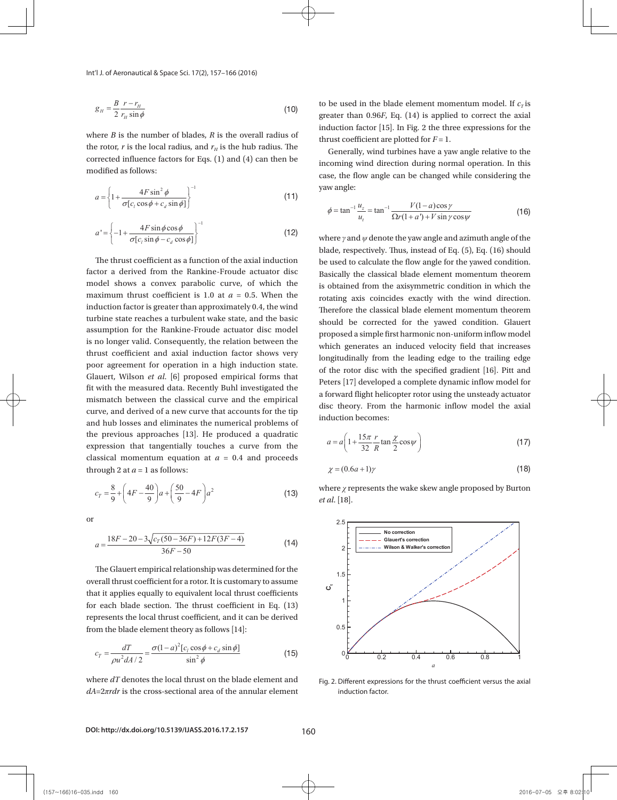Int'l J. of Aeronautical & Space Sci. 17(2), 157–166 (2016)<br>**A** 

$$
g_{H} = \frac{B}{2} \frac{r - r_{H}}{r_{H} \sin \phi}
$$
 (10)

, and the contract of the contract of the contract of the contract of the contract of the contract of the contract of the contract of the contract of the contract of the contract of the contract of the contract of the con

corrected influence factors for Eqs.  $(1)$  and  $(4)$  can then be where *B* is the number of blades, *R* is the overall radius of  $r$  is the rotor,  $r$  is the overall radius of  $r$  is the number of blades, *R* is the overall radius of the rotor,  $r$  is the local radius, and  $r_H$  is the hub radius. The modified as follows:<br>case the flow angle can be

$$
a = \left\{1 + \frac{4F\sin^2\phi}{\sigma[c_i\cos\phi + c_d\sin\phi]}\right\}^{-1}
$$
   
 
$$
\text{(11)} \quad \text{yaw angle:}
$$

$$
\phi = \tan^{-1}\frac{u_z}{u_t} = \tan^{-1}\frac{V(\sqrt{u_z}-v_z)}{\Omega r(1+c)}.
$$

$$
\phi = \tan^{-1} \frac{u_z}{u_t} = \tan^{-1} \frac{V(1 - u)\cos \gamma}{\Omega r(1 + a') + V \sin \gamma \cos \gamma}
$$
(16)  

$$
a' = \begin{cases} -1 + \frac{4F \sin \phi \cos \phi}{\sigma[c_i \sin \phi - c_d \cos \phi]} \end{cases}
$$
(17)  
where  $\gamma$  and  $\psi$  denote the yaw angle and azimuth angle of the  
black, respectively. Thus, instead of Eq. (5), Eq. (16) should

model shows a convex parabolic curve, of which the<br>maximum thrust coefficient is 1.0 at  $a = 0.5$ . When the<br>induction factor is greater than approximately 0.4, the wind<br>turbine state reaches a turbulent wake state, and the maximum thrust coefficient is 1.0 at  $a = 0.5$ . When the rotating axis coincides exactly with the wind direction. turbine state reaches a turbulent wake state, and the basic  $\frac{1}{2}$  should be corrected for t is absolute the model of the contract the contract the proposed a simple first harm is no longer valid. Consequently, the relation between the which concertes an induce thrust coefficient and axial induction factor shows very longitudinally from the lead Glauert, Wilson *et al.* [6] proposed empirical forms that  $\frac{0 \text{ m}}{\text{D} \cdot \text{D} \cdot \text{D} \cdot \text{D} \cdot \text{D} \cdot \text{D} \cdot \text{D} \cdot \text{D} \cdot \text{D} \cdot \text{D} \cdot \text{D} \cdot \text{D} \cdot \text{D} \cdot \text{D} \cdot \text{D} \cdot \text{D} \cdot \text{D} \cdot \text{D} \cdot \text{D} \cdot \text{D} \cdot \text{D} \cdot \text{D}$ fit with the measured data. Recently Buhl investigated the a forward flight helicopter rotor using the unsteady actuator<br>mismatch between the classical curve and the empirical a forward flight helicopter rotor using the un curve, and derived of a new curve that accounts for the tip that is the light of the light of the light of the light of the light of the light of the light of the light of the light of the light of the light of the light o the previous approaches [13]. He produced a quadratic  $(15\pi r \gamma)$ expression that tangentially touches a curve from the through 2 at  $a = 1$  as follows:<br>  $\chi = (0.6a + 1)\gamma$ maximum thrust coefficient is 1.0 at  $a = 0.5$ . When the rotating axis coincides exa fit with the measured data. Recently Buhl investigated the a forward flight heliconter to factor a derived from the Rankine-Froude actuator disc induction factor is greater than approximately 0.4, the wind assumption for the Rankine-Froude actuator disc model poor agreement for operation in a high induction state. mismatch between the classical curve and the empirical and hub losses and eliminates the numerical problems of classical momentum equation at  $a = 0.4$  and proceeds is no longer valid. Consequently, the relation between the<br>thrust coefficient and axial induction factor shows very<br>poor agreement for operation in a high induction state.<br>Glauert, Wilson *et al.* [6] proposed empirical fo curve, and derived of a new curve that accounts for the tip<br>and hub losses and eliminates the numerical problems of<br>the previous approaches [13]. He produced a quadratic<br>expression that tangentially touches a curve from t model shows a convex parabolic curve, of which the<br>
is obtained from the axisym<br>
maximum thrust coefficient is 1.0 at  $a = 0.5$ . When the<br>
induction factor is greater than approximately 0.4, the wind<br>
turbine state reaches thrust coefficient and axial induction factor shows very<br>poor agreement for operation in a high induction state.<br>Glauert, Wilson *et al.* [6] proposed empirical forms that<br>fit with the measured data. Recently Buhl investig

$$
c_T = \frac{8}{9} + \left(4F - \frac{40}{9}\right)a + \left(\frac{50}{9} - 4F\right)a^2
$$
 (13) where  $\chi$  represents the wake skew angle proposed by Burton *et al.* [18].

or or or

or  
\n
$$
a = \frac{18F - 20 - 3\sqrt{c_T(50 - 36F) + 12F(3F - 4)}}{36F - 50}
$$
\n(14)

The Glauert empirical relationship was determined for the  $\begin{bmatrix} 1 & 1 \\ 1 & 2 \end{bmatrix}$ that it applies equally to equivalent local thrust coefficients  $\overrightarrow{C}$ for each blade section. The thrust coefficient in Eq.  $(13)$ from the blade element theory as follows [14]:  $0.5$ The Glauert empirical relationship was determined for the<br>overall thrust coefficient for a rotor. It is customary to assume<br>that it applies equally to equivalent local thrust coefficients<br>for each blade section. The thrus represents the local thrust coefficient, and it can be derived

$$
c_T = \frac{dT}{\rho u^2 dA/2} = \frac{\sigma (1-a)^2 [c_l \cos \phi + c_d \sin \phi]}{\sin^2 \phi}
$$
 (15)

where  $dT$  denotes the local thrust on the blade element and Fig. 2. Different expressions for the *dA*=2*πrdr* is the cross-sectional area of the annular element

 $=\frac{B r-r_H}{2 \cdot T}$  (10) to be used in the blade element momentum model. If  $c_T$  is greater than 0.96*F*, Eq. (14) is applied to correct the axial induction factor  $[15]$ . In Fig. 2 the three expressions for the thrust coefficient are plotted for  $F = 1$ . the annular element to be used in the blade element momentum model. If *Tc* is greater than 0.96*F*, the annular element be used in the blade momentum model. If *Tc* is greater than 0.96*F*,

 $\left(\begin{array}{cc} A E \sin^2 A & I \end{array}\right)^{-1}$  yaw angle: Generally, wind turbines have a yaw angle relative to the incoming wind direction during normal operation. In this case, the flow angle can be changed while considering the thrust coefficient are plotted for *F*  $\frac{1}{2}$ .

$$
\phi = \tan^{-1} \frac{u_z}{u_t} = \tan^{-1} \frac{V(1-a)\cos\gamma}{\Omega r(1+a') + V\sin\gamma\cos\gamma}
$$
(16)

The thrust coefficient as a function of the axial induction be used to calculate the flow angle for the yawed condition. blade, respectively. Thus, ins<br>The thrust coefficient as a function of the axial induction be used to calculate the flow blade, respectively. Thus, in<br>The thrust coefficient as a function of the axial induction be used to calculate the flov Basically the classical blade element momentum theorem Therefore the classical blade element momentum theorem proposed a simple first harmonic non-uniform inflow model which generates an induced velocity field that increases of the rotor disc with the specified gradient [16]. Pitt and disc theory. From the harmonic inflow model the axial blade, respectively. Thus, instead of Eq. (5), Eq. (16) should is obtained from the axisymmetric condition in which the should be corrected for the yawed condition. Glauert longitudinally from the leading edge to the trailing edge Peters [17] developed a complete dynamic inflow model for induction becomes: becomes: becomes:

$$
a = a \left( 1 + \frac{15\pi}{32} \frac{r}{R} \tan \frac{\chi}{2} \cos \psi \right)
$$
 (17)

$$
\chi = (0.6a + 1)\gamma \tag{18}
$$

 $\chi = (0.6a + 1)\gamma$  (18)<br>where  $\chi$  represents the wake skew angle proposed by Burton *et al*. [18].



Fig. 2. Different expressions for the thrust coefficient versus the axial induction factor.

**DOI: http://dx.doi.org/10.5139/IJASS.2016.17.2.157** 160

(157~166)16-035.indd 160 2016-07-05 오후 8:02:10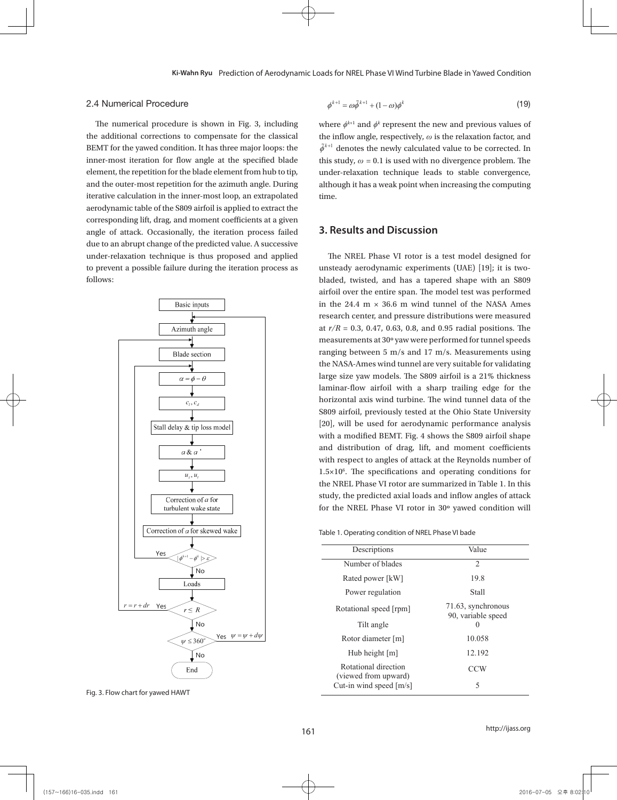### 2.4 Numerical Procedure

The numerical procedure is shown in Fig. 3, including the additional corrections to compensate for the classical BEMT for the yawed condition. It has three major loops: the  $\tilde{\phi}^{k+1}$ inner-most iteration for flow angle at the specified blade element, the repetition for the blade element from hub to tip, and the outer-most repetition for the azimuth angle. During iterative calculation in the inner-most loop, an extrapolated aerodynamic table of the S809 airfoil is applied to extract the corresponding lift, drag, and moment coefficients at a given angle of attack. Occasionally, the iteration process failed **3.** due to an abrupt change of the predicted value. A successive  $\frac{d}{dt}$ under-relaxation technique is thus proposed and applied to prevent a possible failure during the iteration process as follows:



Fig. 3. Flow chart for yawed HAWT

$$
\phi^{k+1} = \omega \tilde{\phi}^{k+1} + (1 - \omega) \phi^k \tag{19}
$$

extrapolated aerodynamic table of the S809 airfoil is applied to extract the corresponding lift, drag, drag, drag, drag, drag, drag, drag, drag, drag, drag, drag, drag, drag, drag, drag, drag, drag, drag, drag, drag, drag,

extrapolated aerodynamic table of the S809 airfoil is applied to extract the corresponding lift, drag,

g. 3, including where  $\phi^{k+1}$  and  $\phi^k$  represent the new and previous values of  $\tilde{\phi}^{k+1}$  denotes the newly calculated value to be corrected. In from hub to tip, under-relaxation technique leads to stable convergence, although it has a weak point when increasing time.  $\sigma$ the inflow angle, respectively, *ω* is the relaxation factor, and 1 angle. During although it has a weak point when increasing the computing this study,  $\omega = 0.1$  is used with no divergence problem. The time.

# **3. Results and Discussion 3. Results and Discussion**

tion process as unsteady aerodynamic experiments (UAE) [19]; it is twomadel, twisted, and has a tapered shape with an 5665 m airfoil over the entire span. The model test was performed in the 24.4  $m \times 36.6$  m wind tunnel of the NASA Ames at  $r/R = 0.3$ , 0.47, 0.63, 0.8, and 0.95 radial positions. The measurements at 30° yaw were performed for tunnel speeds the NASA-Ames wind tunnel are very suitable for validating large size yaw models. The S809 airfoil is a 21% thickness  $\therefore$  horizontal axis wind turbine. The wind tunnel data of the S809 airfoil, previously tested at the Ohio State University with a modified BEMT. Fig. 4 shows the S809 airfoil shape with respect to angles of attack at the Reynolds number of  $1.5 \times 10^6$ . The specifications and operating conditions for measured the communication at two selections of 10 m/s. The communication of 10 m/s. The communication of 10 m/s. Study, the predicted axial loads and inflow angles of attack for the NREL Phase VI rotor in 30° yawed condition will bladed, twisted, and has a tapered shape with an S809 research center, and pressure distributions were measured  $\overline{\phantom{a}}$ and distribution of drag, lift, and moment coefficients The NREL Phase VI rotor is a test model designed for ranging between 5 m/s and 17 m/s. Measurements using laminar-flow airfoil with a sharp trailing edge for the [20], will be used for aerodynamic performance analysis the NREL Phase VI rotor are summarized in Table 1. In this

# 9 Table 1. Operating condition of NREL Phase VI bade

| Descriptions                                 | Value                                    |  |
|----------------------------------------------|------------------------------------------|--|
| Number of blades                             | $\overline{2}$                           |  |
| Rated power [kW]                             | 19.8                                     |  |
| Power regulation                             | Stall                                    |  |
| Rotational speed [rpm]                       | 71.63, synchronous<br>90, variable speed |  |
| Tilt angle                                   | 0                                        |  |
| Rotor diameter [m]                           | 10.058                                   |  |
| Hub height $[m]$                             | 12.192                                   |  |
| Rotational direction<br>(viewed from upward) | CCW                                      |  |
| Cut-in wind speed $[m/s]$                    | 5                                        |  |

### http://ijass.org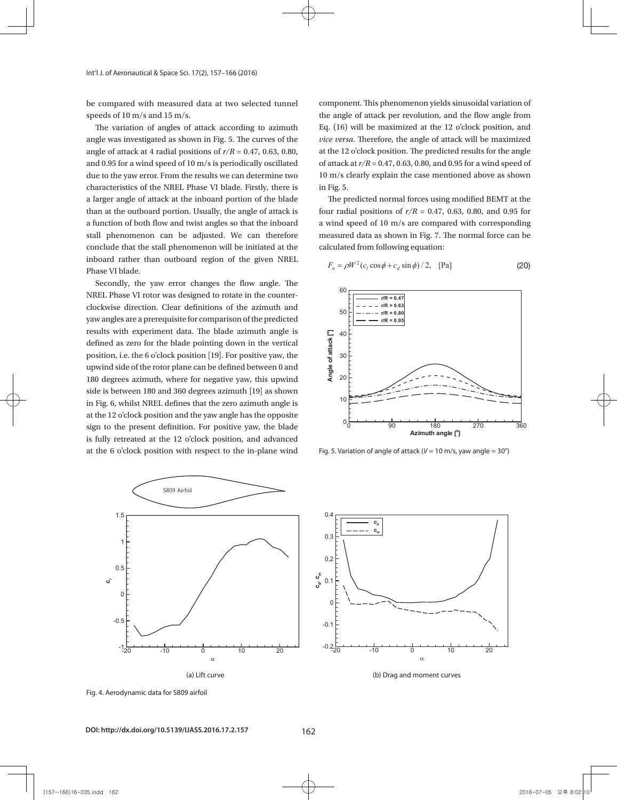be compared with measured data at two selected tunnel speeds of 10 m/s and 15 m/s.

The variation of angles of attack according to azimuth angle was investigated as shown in Fig. 5. The curves of the angle of attack at 4 radial positions of  $r/R = 0.47$ , 0.63, 0.80, and 0.95 for a wind speed of 10 m/s is periodically oscillated due to the yaw error. From the results we can determine two characteristics of the NREL Phase VI blade. Firstly, there is a larger angle of attack at the inboard portion of the blade than at the outboard portion. Usually, the angle of attack is a function of both flow and twist angles so that the inboard stall phenomenon can be adjusted. We can therefore conclude that the stall phenomenon will be initiated at the inboard rather than outboard region of the given NREL Phase VI blade.

Secondly, the yaw error changes the flow angle. The NREL Phase VI rotor was designed to rotate in the counterclockwise direction. Clear definitions of the azimuth and yaw angles are a prerequisite for comparison of the predicted results with experiment data. The blade azimuth angle is defined as zero for the blade pointing down in the vertical position, i.e. the 6 o'clock position [19]. For positive yaw, the upwind side of the rotor plane can be defined between 0 and 180 degrees azimuth, where for negative yaw, this upwind side is between 180 and 360 degrees azimuth [19] as shown in Fig. 6, whilst NREL defines that the zero azimuth angle is at the 12 o'clock position and the yaw angle has the opposite sign to the present definition. For positive yaw, the blade is fully retreated at the 12 o'clock position, and advanced at the 6 o'clock position with respect to the in-plane wind

component. This phenomenon yields sinusoidal variation of the angle of attack per revolution, and the flow angle from Eq. (16) will be maximized at the 12 o'clock position, and attack will be maximized at the 12 o'clock position, the *n* over the predicted results for the angle of attack will be maximized at the 12 o'clock position. The predicted results for the angle of attack at *r/R* = 0.47, 0.63, 0.80, and 0.95 for a wind speed of 10 m/s clearly explain the case mentioned above as shown in Fig. 5. This phenomenon yields sinusoidal variation of the angle of attack per revolution, and the flow angle of attack per revolution, and the flow angle of attack per revolution, and the flow angle of attack per revolution, and The predicted normal forces using modified BEMT at the four radial positions of *r/R* = 0.47, 0.63,

yaw, the upwind side of the rotor plane can be defined between 0 and 180 degrees azimuth, where for

negative yaw, this upwind side is between 180 and 360 degrees azimuth [19] as shown in Fig. 6,

The predicted normal forces using modified BEMT at the four radial positions of  $r/R = 0.47$ , 0.63, 0.80, and 0.95 for a wind speed of 10 m/s are compared with corresponding measured data as shown in Fig. 7. The normal force can be calculated from following equation:

 $F_n = \rho W^2 (c_l \cos \phi + c_d \sin \phi) / 2$ , [Pa] (20)



Fig. 5. Variation of angle of attack ( $V = 10 \text{ m/s}$ , yaw angle  $= 30^{\circ}$ )





Fig. 4. Aerodynamic data for S809 airfoil

**DOI: http://dx.doi.org/10.5139/IJASS.2016.17.2.157** 162

(157~166)16-035.indd 162 2016-07-05 오후 8:02:00 2016-07-05 오후 8:02:00 2016-07-05 오후 8:02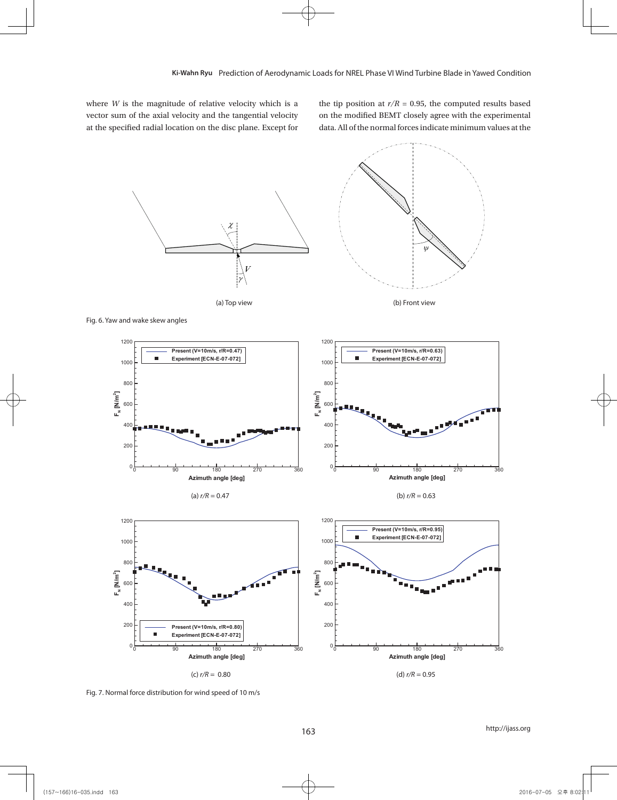where *W* is the magnitude of relative velocity which is a vector sum of the axial velocity and the tangential velocity at the specified radial location on the disc plane. Except for

the tip position at  $r/R = 0.95$ , the computed results based on the modified BEMT closely agree with the experimental data. All of the normal forces indicate minimum values at the









Fig. 6. Yaw and wake skew angles











Fig. 7. Normal force distribution for wind speed of 10 m/s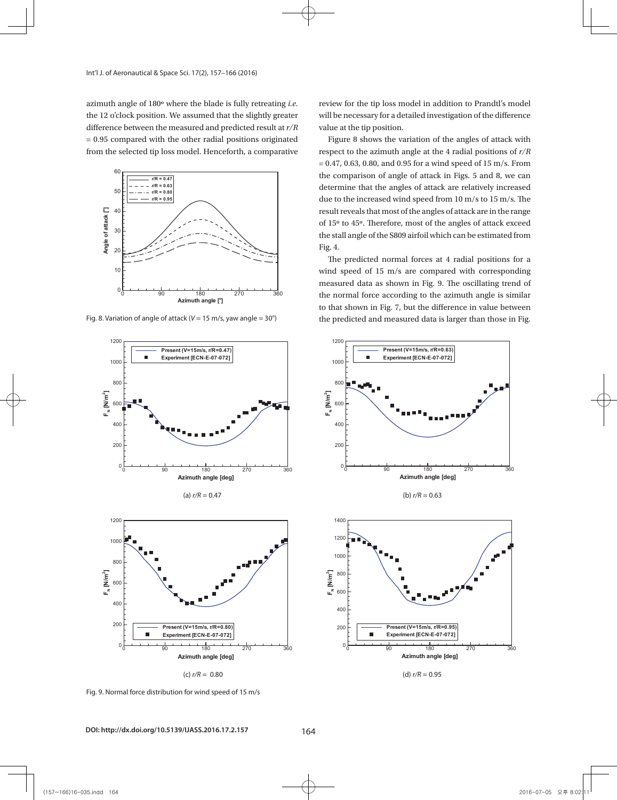azimuth angle of 180º where the blade is fully retreating *i.e*. the 12 o'clock position. We assumed that the slightly greater difference between the measured and predicted result at *r/R* = 0.95 compared with the other radial positions originated from the selected tip loss model. Henceforth, a comparative



Fig. 8. Variation of angle of attack ( $V = 15$  m/s, yaw angle =  $30^{\circ}$ )







Fig. 9. Normal force distribution for wind speed of 15 m/s

**DOI: http://dx.doi.org/10.5139/IJASS.2016.17.2.157** 164

review for the tip loss model in addition to Prandtl's model will be necessary for a detailed investigation of the difference value at the tip position.

Figure 8 shows the variation of the angles of attack with respect to the azimuth angle at the 4 radial positions of *r/R*  $= 0.47, 0.63, 0.80,$  and 0.95 for a wind speed of 15 m/s. From the comparison of angle of attack in Figs. 5 and 8, we can determine that the angles of attack are relatively increased due to the increased wind speed from 10 m/s to 15 m/s. The result reveals that most of the angles of attack are in the range of 15º to 45º. Therefore, most of the angles of attack exceed the stall angle of the S809 airfoil which can be estimated from Fig. 4.

The predicted normal forces at 4 radial positions for a wind speed of 15 m/s are compared with corresponding measured data as shown in Fig. 9. The oscillating trend of the normal force according to the azimuth angle is similar to that shown in Fig. 7, but the difference in value between the predicted and measured data is larger than those in Fig.





(d) *r/R* = 0.95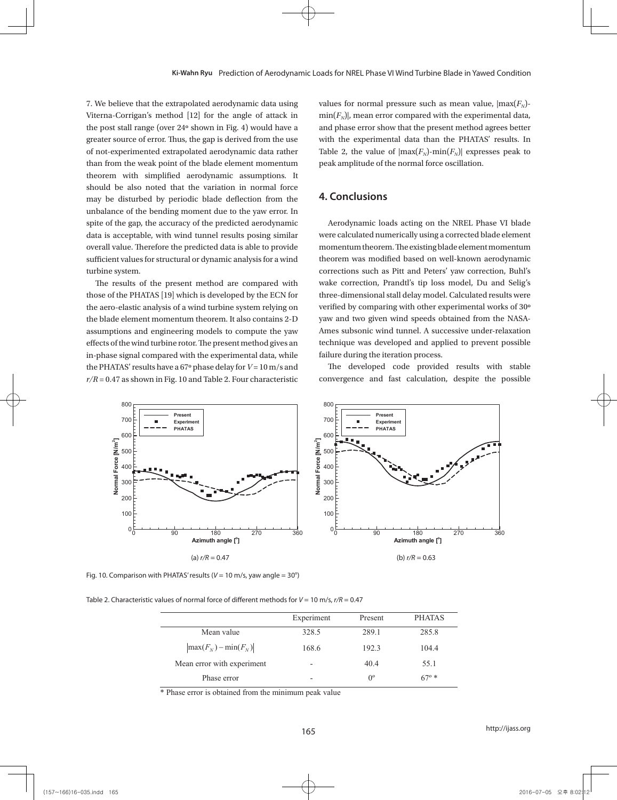7. We believe that the extrapolated aerodynamic data using Viterna-Corrigan's method [12] for the angle of attack in the post stall range (over 24º shown in Fig. 4) would have a greater source of error. Thus, the gap is derived from the use of not-experimented extrapolated aerodynamic data rather than from the weak point of the blade element momentum theorem with simplified aerodynamic assumptions. It should be also noted that the variation in normal force may be disturbed by periodic blade deflection from the unbalance of the bending moment due to the yaw error. In spite of the gap, the accuracy of the predicted aerodynamic data is acceptable, with wind tunnel results posing similar overall value. Therefore the predicted data is able to provide sufficient values for structural or dynamic analysis for a wind turbine system.

The results of the present method are compared with those of the PHATAS [19] which is developed by the ECN for the aero-elastic analysis of a wind turbine system relying on the blade element momentum theorem. It also contains 2-D assumptions and engineering models to compute the yaw effects of the wind turbine rotor. The present method gives an in-phase signal compared with the experimental data, while the PHATAS' results have a 67º phase delay for *V* = 10 m/s and  $r/R = 0.47$  as shown in Fig. 10 and Table 2. Four characteristic

values for normal pressure such as mean value,  $|max(F<sub>N</sub>)$  $min(F_N)$ , mean error compared with the experimental data, and phase error show that the present method agrees better with the experimental data than the PHATAS' results. In Table 2, the value of  $|max(F_N)-min(F_N)|$  expresses peak to peak amplitude of the normal force oscillation.

# **4. Conclusions**

Aerodynamic loads acting on the NREL Phase VI blade were calculated numerically using a corrected blade element momentum theorem. The existing blade element momentum theorem was modified based on well-known aerodynamic corrections such as Pitt and Peters' yaw correction, Buhl's wake correction, Prandtl's tip loss model, Du and Selig's three-dimensional stall delay model. Calculated results were verified by comparing with other experimental works of 30º yaw and two given wind speeds obtained from the NASA-Ames subsonic wind tunnel. A successive under-relaxation technique was developed and applied to prevent possible failure during the iteration process.

The developed code provided results with stable convergence and fast calculation, despite the possible



Fig. 10. Comparison with PHATAS' results ( $V = 10$  m/s, yaw angle =  $30^{\circ}$ )

Table 2. Characteristic values of normal force of different methods for *V* = 10 m/s, *r/R* = 0.47

|                                    | Experiment | Present     | <b>PHATAS</b>  |
|------------------------------------|------------|-------------|----------------|
| Mean value                         | 328.5      | 289.1       | 285.8          |
| $\left \max(F_N)-\min(F_N)\right $ | 168.6      | 192.3       | 104.4          |
| Mean error with experiment         | -          | 40.4        | 55.1           |
| Phase error                        |            | $0^{\circ}$ | $67^{\circ}$ * |

\* Phase error is obtained from the minimum peak value

### http://ijass.org